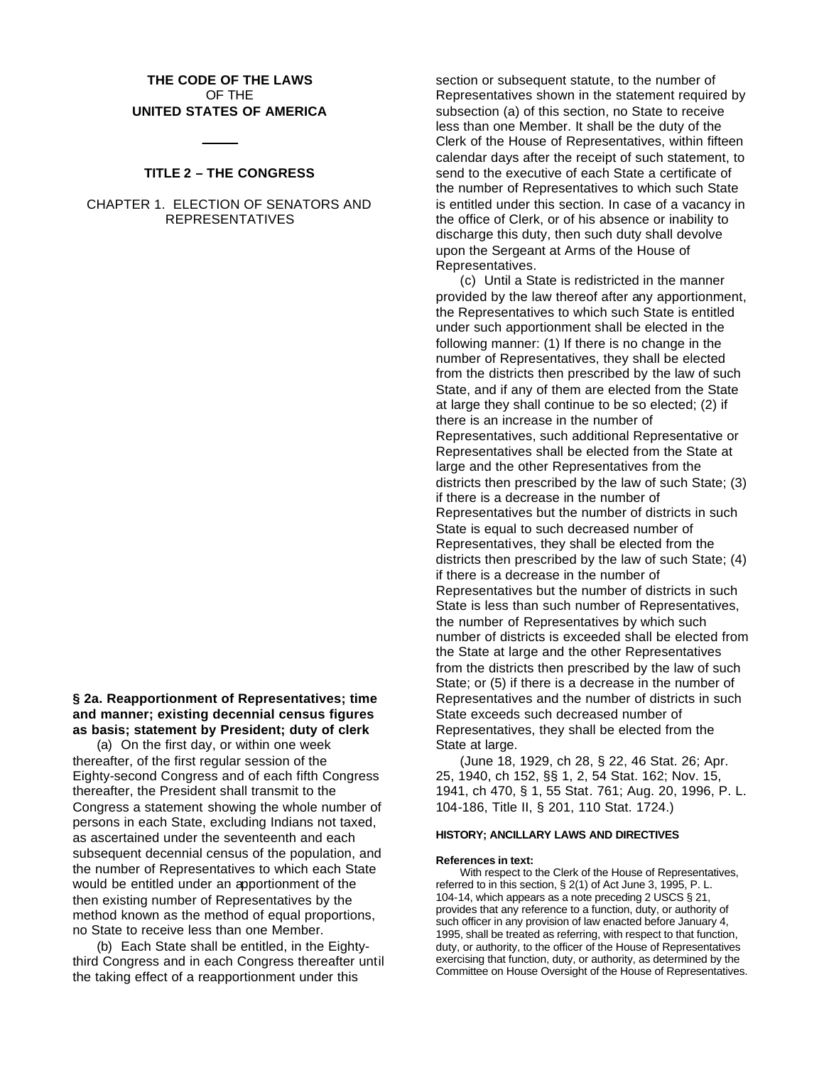# **THE CODE OF THE LAWS** OF THE **UNITED STATES OF AMERICA**

# **TITLE 2 – THE CONGRESS**

CHAPTER 1. ELECTION OF SENATORS AND REPRESENTATIVES

**§ 2a. Reapportionment of Representatives; time and manner; existing decennial census figures as basis; statement by President; duty of clerk**

(a) On the first day, or within one week thereafter, of the first regular session of the Eighty-second Congress and of each fifth Congress thereafter, the President shall transmit to the Congress a statement showing the whole number of persons in each State, excluding Indians not taxed, as ascertained under the seventeenth and each subsequent decennial census of the population, and the number of Representatives to which each State would be entitled under an apportionment of the then existing number of Representatives by the method known as the method of equal proportions, no State to receive less than one Member.

(b) Each State shall be entitled, in the Eightythird Congress and in each Congress thereafter until the taking effect of a reapportionment under this

section or subsequent statute, to the number of Representatives shown in the statement required by subsection (a) of this section, no State to receive less than one Member. It shall be the duty of the Clerk of the House of Representatives, within fifteen calendar days after the receipt of such statement, to send to the executive of each State a certificate of the number of Representatives to which such State is entitled under this section. In case of a vacancy in the office of Clerk, or of his absence or inability to discharge this duty, then such duty shall devolve upon the Sergeant at Arms of the House of Representatives.

(c) Until a State is redistricted in the manner provided by the law thereof after any apportionment, the Representatives to which such State is entitled under such apportionment shall be elected in the following manner: (1) If there is no change in the number of Representatives, they shall be elected from the districts then prescribed by the law of such State, and if any of them are elected from the State at large they shall continue to be so elected; (2) if there is an increase in the number of Representatives, such additional Representative or Representatives shall be elected from the State at large and the other Representatives from the districts then prescribed by the law of such State; (3) if there is a decrease in the number of Representatives but the number of districts in such State is equal to such decreased number of Representatives, they shall be elected from the districts then prescribed by the law of such State; (4) if there is a decrease in the number of Representatives but the number of districts in such State is less than such number of Representatives, the number of Representatives by which such number of districts is exceeded shall be elected from the State at large and the other Representatives from the districts then prescribed by the law of such State; or (5) if there is a decrease in the number of Representatives and the number of districts in such State exceeds such decreased number of Representatives, they shall be elected from the State at large.

(June 18, 1929, ch 28, § 22, 46 Stat. 26; Apr. 25, 1940, ch 152, §§ 1, 2, 54 Stat. 162; Nov. 15, 1941, ch 470, § 1, 55 Stat. 761; Aug. 20, 1996, P. L. 104-186, Title II, § 201, 110 Stat. 1724.)

# **HISTORY; ANCILLARY LAWS AND DIRECTIVES**

#### **References in text:**

With respect to the Clerk of the House of Representatives, referred to in this section, § 2(1) of Act June 3, 1995, P. L. 104-14, which appears as a note preceding 2 USCS § 21, provides that any reference to a function, duty, or authority of such officer in any provision of law enacted before January 4, 1995, shall be treated as referring, with respect to that function, duty, or authority, to the officer of the House of Representatives exercising that function, duty, or authority, as determined by the Committee on House Oversight of the House of Representatives.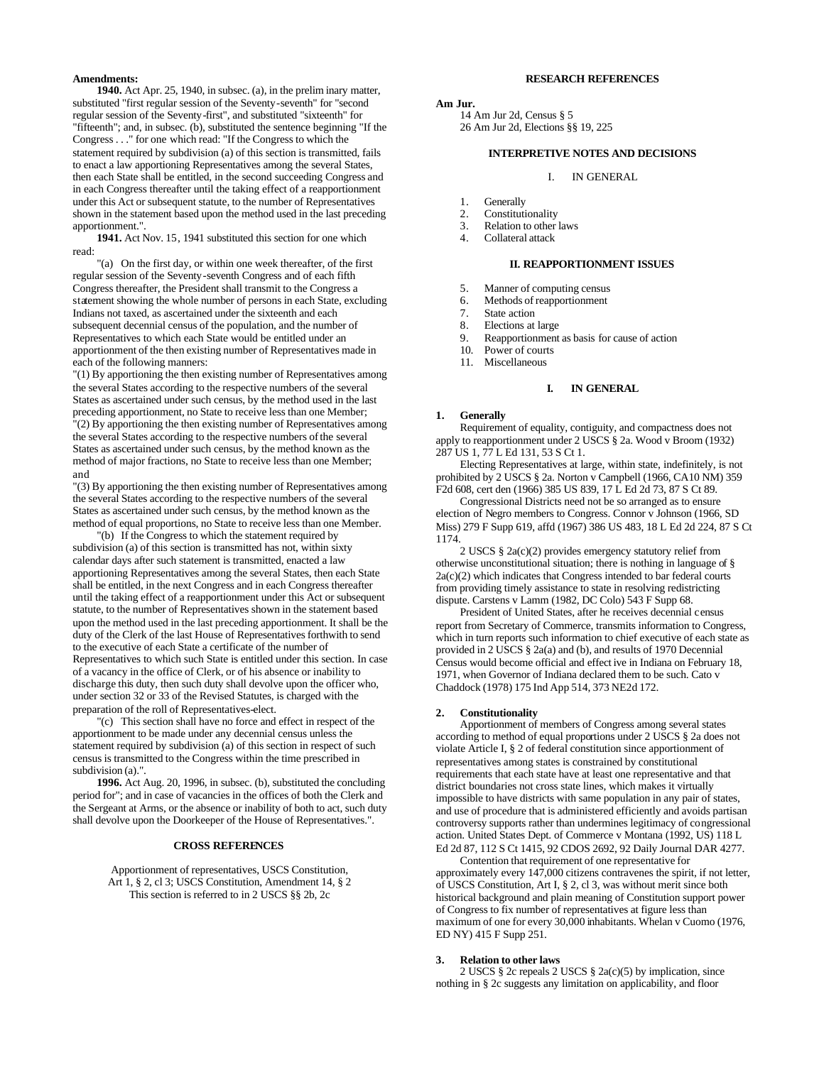## **Amendments:**

**1940.** Act Apr. 25, 1940, in subsec. (a), in the prelim inary matter, substituted "first regular session of the Seventy-seventh" for "second regular session of the Seventy-first", and substituted "sixteenth" for "fifteenth"; and, in subsec. (b), substituted the sentence beginning "If the Congress . . ." for one which read: "If the Congress to which the statement required by subdivision (a) of this section is transmitted, fails to enact a law apportioning Representatives among the several States, then each State shall be entitled, in the second succeeding Congress and in each Congress thereafter until the taking effect of a reapportionment under this Act or subsequent statute, to the number of Representatives shown in the statement based upon the method used in the last preceding apportionment.".

**1941.** Act Nov. 15, 1941 substituted this section for one which read:

"(a) On the first day, or within one week thereafter, of the first regular session of the Seventy-seventh Congress and of each fifth Congress thereafter, the President shall transmit to the Congress a statement showing the whole number of persons in each State, excluding Indians not taxed, as ascertained under the sixteenth and each subsequent decennial census of the population, and the number of Representatives to which each State would be entitled under an apportionment of the then existing number of Representatives made in each of the following manners:

"(1) By apportioning the then existing number of Representatives among the several States according to the respective numbers of the several States as ascertained under such census, by the method used in the last preceding apportionment, no State to receive less than one Member; "(2) By apportioning the then existing number of Representatives among the several States according to the respective numbers of the several States as ascertained under such census, by the method known as the method of major fractions, no State to receive less than one Member; and

"(3) By apportioning the then existing number of Representatives among the several States according to the respective numbers of the several States as ascertained under such census, by the method known as the method of equal proportions, no State to receive less than one Member.

"(b) If the Congress to which the statement required by subdivision (a) of this section is transmitted has not, within sixty calendar days after such statement is transmitted, enacted a law apportioning Representatives among the several States, then each State shall be entitled, in the next Congress and in each Congress thereafter until the taking effect of a reapportionment under this Act or subsequent statute, to the number of Representatives shown in the statement based upon the method used in the last preceding apportionment. It shall be the duty of the Clerk of the last House of Representatives forthwith to send to the executive of each State a certificate of the number of Representatives to which such State is entitled under this section. In case of a vacancy in the office of Clerk, or of his absence or inability to discharge this duty, then such duty shall devolve upon the officer who, under section 32 or 33 of the Revised Statutes, is charged with the preparation of the roll of Representatives-elect.

"(c) This section shall have no force and effect in respect of the apportionment to be made under any decennial census unless the statement required by subdivision (a) of this section in respect of such census is transmitted to the Congress within the time prescribed in subdivision (a).".

**1996.** Act Aug. 20, 1996, in subsec. (b), substituted the concluding period for"; and in case of vacancies in the offices of both the Clerk and the Sergeant at Arms, or the absence or inability of both to act, such duty shall devolve upon the Doorkeeper of the House of Representatives.".

# **CROSS REFERENCES**

Apportionment of representatives, USCS Constitution, Art 1, § 2, cl 3; USCS Constitution, Amendment 14, § 2 This section is referred to in 2 USCS §§ 2b, 2c

## **RESEARCH REFERENCES**

# **Am Jur.**

14 Am Jur 2d, Census § 5 26 Am Jur 2d, Elections §§ 19, 225

## **INTERPRETIVE NOTES AND DECISIONS**

#### I. IN GENERAL

- 1. Generally<br>2. Constituti
- **Constitutionality**
- 3. Relation to other laws<br>4. Collateral attack
- Collateral attack

## **II. REAPPORTIONMENT ISSUES**

- 5. Manner of computing census
- 6. Methods of reapportionment
- State action
- 8. Elections at large
- 9. Reapportionment as basis for cause of action<br>10 Power of courts
- 10. Power of courts<br>11. Miscellaneous
- **Miscellaneous**

## **I. IN GENERAL**

#### **1. Generally**

Requirement of equality, contiguity, and compactness does not apply to reapportionment under 2 USCS § 2a. Wood v Broom (1932) 287 US 1, 77 L Ed 131, 53 S Ct 1.

Electing Representatives at large, within state, indefinitely, is not prohibited by 2 USCS § 2a. Norton v Campbell (1966, CA10 NM) 359 F2d 608, cert den (1966) 385 US 839, 17 L Ed 2d 73, 87 S Ct 89.

Congressional Districts need not be so arranged as to ensure election of Negro members to Congress. Connor v Johnson (1966, SD Miss) 279 F Supp 619, affd (1967) 386 US 483, 18 L Ed 2d 224, 87 S Ct 1174.

2 USCS § 2a(c)(2) provides emergency statutory relief from otherwise unconstitutional situation; there is nothing in language of §  $2a(c)(2)$  which indicates that Congress intended to bar federal courts from providing timely assistance to state in resolving redistricting dispute. Carstens v Lamm (1982, DC Colo) 543 F Supp 68.

President of United States, after he receives decennial census report from Secretary of Commerce, transmits information to Congress, which in turn reports such information to chief executive of each state as provided in 2 USCS § 2a(a) and (b), and results of 1970 Decennial Census would become official and effect ive in Indiana on February 18, 1971, when Governor of Indiana declared them to be such. Cato v Chaddock (1978) 175 Ind App 514, 373 NE2d 172.

### **2. Constitutionality**

Apportionment of members of Congress among several states according to method of equal proportions under 2 USCS § 2a does not violate Article I, § 2 of federal constitution since apportionment of representatives among states is constrained by constitutional requirements that each state have at least one representative and that district boundaries not cross state lines, which makes it virtually impossible to have districts with same population in any pair of states, and use of procedure that is administered efficiently and avoids partisan controversy supports rather than undermines legitimacy of congressional action. United States Dept. of Commerce v Montana (1992, US) 118 L Ed 2d 87, 112 S Ct 1415, 92 CDOS 2692, 92 Daily Journal DAR 4277.

Contention that requirement of one representative for approximately every 147,000 citizens contravenes the spirit, if not letter, of USCS Constitution, Art I, § 2, cl 3, was without merit since both historical background and plain meaning of Constitution support power of Congress to fix number of representatives at figure less than maximum of one for every 30,000 inhabitants. Whelan v Cuomo (1976, ED NY) 415 F Supp 251.

#### **3. Relation to other laws**

2 USCS § 2c repeals 2 USCS § 2a(c)(5) by implication, since nothing in § 2c suggests any limitation on applicability, and floor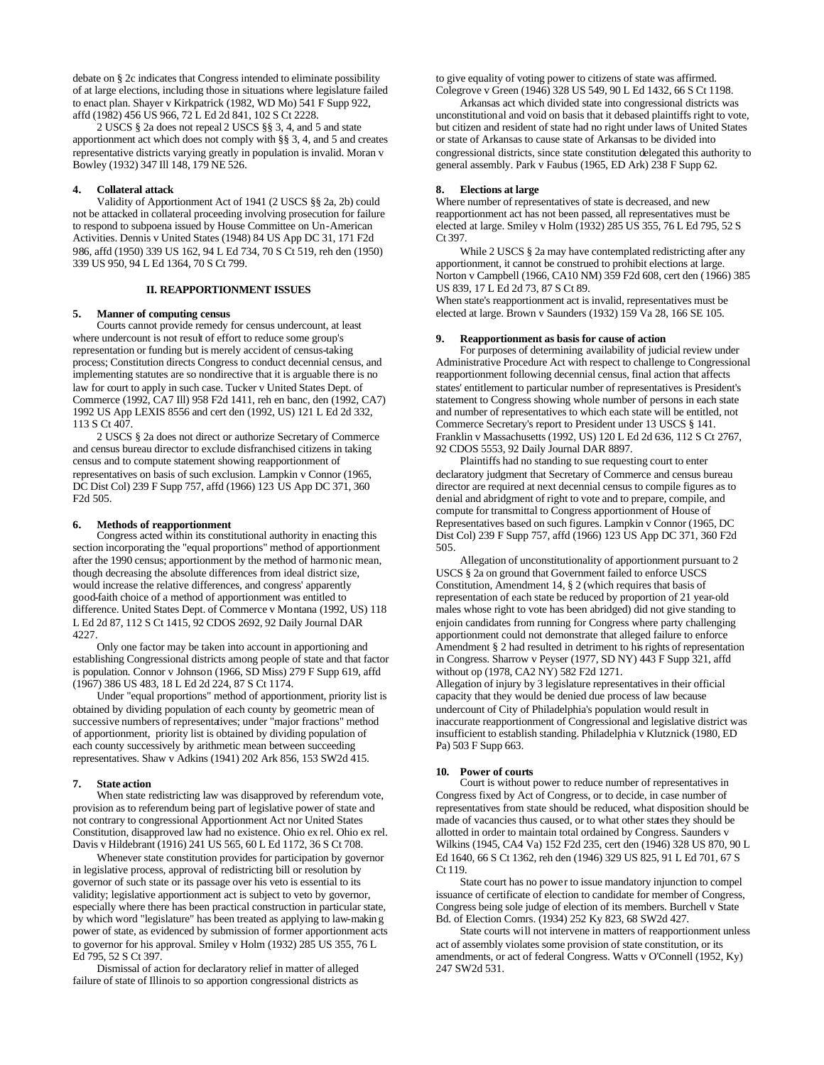debate on § 2c indicates that Congress intended to eliminate possibility of at large elections, including those in situations where legislature failed to enact plan. Shayer v Kirkpatrick (1982, WD Mo) 541 F Supp 922, affd (1982) 456 US 966, 72 L Ed 2d 841, 102 S Ct 2228.

2 USCS § 2a does not repeal 2 USCS §§ 3, 4, and 5 and state apportionment act which does not comply with §§ 3, 4, and 5 and creates representative districts varying greatly in population is invalid. Moran v Bowley (1932) 347 Ill 148, 179 NE 526.

## **4. Collateral attack**

Validity of Apportionment Act of 1941 (2 USCS §§ 2a, 2b) could not be attacked in collateral proceeding involving prosecution for failure to respond to subpoena issued by House Committee on Un-American Activities. Dennis v United States (1948) 84 US App DC 31, 171 F2d 986, affd (1950) 339 US 162, 94 L Ed 734, 70 S Ct 519, reh den (1950) 339 US 950, 94 L Ed 1364, 70 S Ct 799.

#### **II. REAPPORTIONMENT ISSUES**

## **5. Manner of computing census**

Courts cannot provide remedy for census undercount, at least where undercount is not result of effort to reduce some group's representation or funding but is merely accident of census-taking process; Constitution directs Congress to conduct decennial census, and implementing statutes are so nondirective that it is arguable there is no law for court to apply in such case. Tucker v United States Dept. of Commerce (1992, CA7 Ill) 958 F2d 1411, reh en banc, den (1992, CA7) 1992 US App LEXIS 8556 and cert den (1992, US) 121 L Ed 2d 332, 113 S Ct 407.

2 USCS § 2a does not direct or authorize Secretary of Commerce and census bureau director to exclude disfranchised citizens in taking census and to compute statement showing reapportionment of representatives on basis of such exclusion. Lampkin v Connor (1965, DC Dist Col) 239 F Supp 757, affd (1966) 123 US App DC 371, 360 F2d 505.

### **6. Methods of reapportionment**

Congress acted within its constitutional authority in enacting this section incorporating the "equal proportions" method of apportionment after the 1990 census; apportionment by the method of harmonic mean, though decreasing the absolute differences from ideal district size, would increase the relative differences, and congress' apparently good-faith choice of a method of apportionment was entitled to difference. United States Dept. of Commerce v Montana (1992, US) 118 L Ed 2d 87, 112 S Ct 1415, 92 CDOS 2692, 92 Daily Journal DAR 4227.

Only one factor may be taken into account in apportioning and establishing Congressional districts among people of state and that factor is population. Connor v Johnson (1966, SD Miss) 279 F Supp 619, affd (1967) 386 US 483, 18 L Ed 2d 224, 87 S Ct 1174.

Under "equal proportions" method of apportionment, priority list is obtained by dividing population of each county by geometric mean of successive numbers of representatives; under "major fractions" method of apportionment, priority list is obtained by dividing population of each county successively by arithmetic mean between succeeding representatives. Shaw v Adkins (1941) 202 Ark 856, 153 SW2d 415.

#### **7. State action**

When state redistricting law was disapproved by referendum vote, provision as to referendum being part of legislative power of state and not contrary to congressional Apportionment Act nor United States Constitution, disapproved law had no existence. Ohio ex rel. Ohio ex rel. Davis v Hildebrant (1916) 241 US 565, 60 L Ed 1172, 36 S Ct 708.

Whenever state constitution provides for participation by governor in legislative process, approval of redistricting bill or resolution by governor of such state or its passage over his veto is essential to its validity; legislative apportionment act is subject to veto by governor, especially where there has been practical construction in particular state, by which word "legislature" has been treated as applying to law-makin g power of state, as evidenced by submission of former apportionment acts to governor for his approval. Smiley v Holm (1932) 285 US 355, 76 L Ed 795, 52 S Ct 397.

Dismissal of action for declaratory relief in matter of alleged failure of state of Illinois to so apportion congressional districts as to give equality of voting power to citizens of state was affirmed. Colegrove v Green (1946) 328 US 549, 90 L Ed 1432, 66 S Ct 1198.

Arkansas act which divided state into congressional districts was unconstitutional and void on basis that it debased plaintiffs right to vote, but citizen and resident of state had no right under laws of United States or state of Arkansas to cause state of Arkansas to be divided into congressional districts, since state constitution delegated this authority to general assembly. Park v Faubus (1965, ED Ark) 238 F Supp 62.

## **8. Elections at large**

Where number of representatives of state is decreased, and new reapportionment act has not been passed, all representatives must be elected at large. Smiley v Holm (1932) 285 US 355, 76 L Ed 795, 52 S Ct 397.

While 2 USCS § 2a may have contemplated redistricting after any apportionment, it cannot be construed to prohibit elections at large. Norton v Campbell (1966, CA10 NM) 359 F2d 608, cert den (1966) 385 US 839, 17 L Ed 2d 73, 87 S Ct 89.

When state's reapportionment act is invalid, representatives must be elected at large. Brown v Saunders (1932) 159 Va 28, 166 SE 105.

### **9. Reapportionment as basis for cause of action**

For purposes of determining availability of judicial review under Administrative Procedure Act with respect to challenge to Congressional reapportionment following decennial census, final action that affects states' entitlement to particular number of representatives is President's statement to Congress showing whole number of persons in each state and number of representatives to which each state will be entitled, not Commerce Secretary's report to President under 13 USCS § 141. Franklin v Massachusetts (1992, US) 120 L Ed 2d 636, 112 S Ct 2767, 92 CDOS 5553, 92 Daily Journal DAR 8897.

Plaintiffs had no standing to sue requesting court to enter declaratory judgment that Secretary of Commerce and census bureau director are required at next decennial census to compile figures as to denial and abridgment of right to vote and to prepare, compile, and compute for transmittal to Congress apportionment of House of Representatives based on such figures. Lampkin v Connor (1965, DC Dist Col) 239 F Supp 757, affd (1966) 123 US App DC 371, 360 F2d 505.

Allegation of unconstitutionality of apportionment pursuant to 2 USCS § 2a on ground that Government failed to enforce USCS Constitution, Amendment 14, § 2 (which requires that basis of representation of each state be reduced by proportion of 21 year-old males whose right to vote has been abridged) did not give standing to enjoin candidates from running for Congress where party challenging apportionment could not demonstrate that alleged failure to enforce Amendment § 2 had resulted in detriment to his rights of representation in Congress. Sharrow v Peyser (1977, SD NY) 443 F Supp 321, affd without op (1978, CA2 NY) 582 F2d 1271.

Allegation of injury by 3 legislature representatives in their official capacity that they would be denied due process of law because undercount of City of Philadelphia's population would result in inaccurate reapportionment of Congressional and legislative district was insufficient to establish standing. Philadelphia v Klutznick (1980, ED Pa) 503 F Supp 663.

#### **10. Power of courts**

Court is without power to reduce number of representatives in Congress fixed by Act of Congress, or to decide, in case number of representatives from state should be reduced, what disposition should be made of vacancies thus caused, or to what other states they should be allotted in order to maintain total ordained by Congress. Saunders v Wilkins (1945, CA4 Va) 152 F2d 235, cert den (1946) 328 US 870, 90 L Ed 1640, 66 S Ct 1362, reh den (1946) 329 US 825, 91 L Ed 701, 67 S Ct 119.

State court has no power to issue mandatory injunction to compel issuance of certificate of election to candidate for member of Congress, Congress being sole judge of election of its members. Burchell v State Bd. of Election Comrs. (1934) 252 Ky 823, 68 SW2d 427.

State courts will not intervene in matters of reapportionment unless act of assembly violates some provision of state constitution, or its amendments, or act of federal Congress. Watts v O'Connell (1952, Ky) 247 SW2d 531.